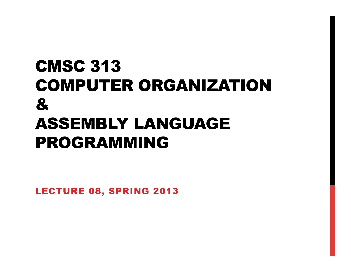# CMSC 313 COMPUTER ORGANIZATION & ASSEMBLY LANGUAGE PROGRAMMING

LECTURE 08, SPRING 2013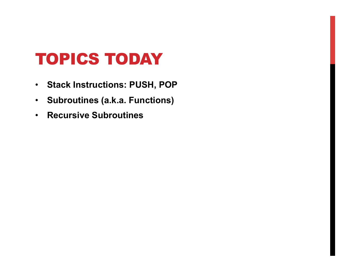# TOPICS TODAY

- **Stack Instructions: PUSH, POP**
- **Subroutines (a.k.a. Functions)**
- **Recursive Subroutines**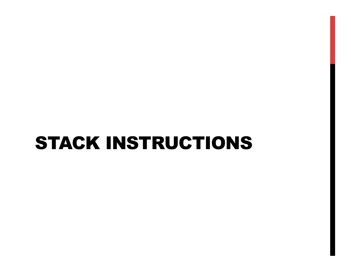# STACK INSTRUCTIONS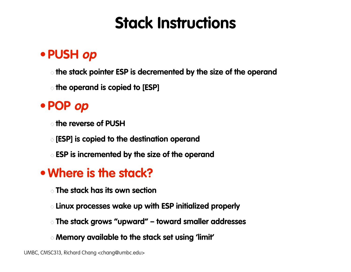# **Stack Instructions**

## **• PUSH op**

**the stack pointer ESP is decremented by the size of the operand**

**the operand is copied to [ESP]**

# **• POP op**

**the reverse of PUSH**

**[ESP] is copied to the destination operand**

**ESP is incremented by the size of the operand**

## **• Where is the stack?**

**The stack has its own section**

**Linux processes wake up with ESP initialized properly**

- **The stack grows "upward" toward smaller addresses**
- **Memory available to the stack set using 'limit'**

UMBC, CMSC313, Richard Chang <chang@umbc.edu>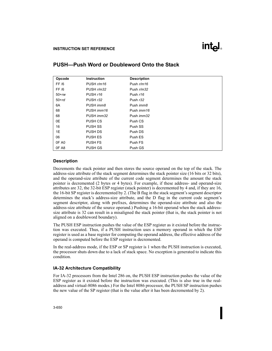#### **INSTRUCTION SET REFERENCE**

| Opcode  | <b>Instruction</b> | <b>Description</b> |
|---------|--------------------|--------------------|
| FF /6   | PUSH r/m16         | Push $r/m16$       |
| FF /6   | PUSH r/m32         | Push $r/m32$       |
| $50+rw$ | PUSH r16           | Push $r16$         |
| $50+rd$ | <b>PUSH r32</b>    | Push $r32$         |
| 6A      | PUSH <i>imm8</i>   | Push <i>imm8</i>   |
| 68      | PUSH <i>imm16</i>  | Push <i>imm16</i>  |
| 68      | PUSH <i>imm</i> 32 | Push <i>imm</i> 32 |
| 0E      | <b>PUSH CS</b>     | Push CS            |
| 16      | <b>PUSH SS</b>     | Push SS            |
| 1E      | PUSH DS            | Push DS            |
| 06      | <b>PUSH ES</b>     | Push ES            |
| OF AO   | <b>PUSH FS</b>     | Push FS            |
| OF A8   | <b>PUSH GS</b>     | Push GS            |

#### **PUSH—Push Word or Doubleword Onto the Stack**

#### **Description**

Decrements the stack pointer and then stores the source operand on the top of the stack. The address-size attribute of the stack segment determines the stack pointer size (16 bits or 32 bits), and the operand-size attribute of the current code segment determines the amount the stack pointer is decremented (2 bytes or 4 bytes). For example, if these address- and operand-size attributes are 32, the 32-bit ESP register (stack pointer) is decremented by 4 and, if they are 16, the 16-bit SP register is decremented by 2. (The B flag in the stack segment's segment descriptor determines the stack's address-size attribute, and the D flag in the current code segment's segment descriptor, along with prefixes, determines the operand-size attribute and also the address-size attribute of the source operand.) Pushing a 16-bit operand when the stack addresssize attribute is 32 can result in a misaligned the stack pointer (that is, the stack pointer is not aligned on a doubleword boundary).

The PUSH ESP instruction pushes the value of the ESP register as it existed before the instruction was executed. Thus, if a PUSH instruction uses a memory operand in which the ESP register is used as a base register for computing the operand address, the effective address of the operand is computed before the ESP register is decremented.

In the real-address mode, if the ESP or SP register is 1 when the PUSH instruction is executed, the processor shuts down due to a lack of stack space. No exception is generated to indicate this condition.

#### **IA-32 Architecture Compatibility**

For IA-32 processors from the Intel 286 on, the PUSH ESP instruction pushes the value of the ESP register as it existed before the instruction was executed. (This is also true in the realaddress and virtual-8086 modes.) For the Intel 8086 processor, the PUSH SP instruction pushes the new value of the SP register (that is the value after it has been decremented by 2).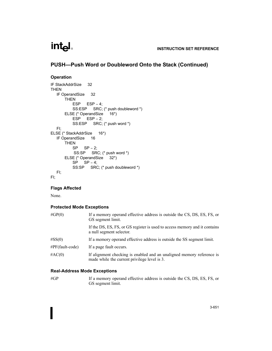#### **INSTRUCTION SET REFERENCE**

#### **PUSH—Push Word or Doubleword Onto the Stack (Continued)**

#### **Operation**

```
IF StackAddrSize 32
THEN
  IF OperandSize 32
      THEN
          ESP ESP - 4;
          SS:ESP SRC; (* push doubleword *)
      ELSE (* OperandSize 16*)
         ESP ESP - 2;
          SS:ESP SRC; (* push word *)
  FI;
ELSE (* StackAddrSize 16*)
  IF OperandSize 16
      THEN
          SP SP - 2;
           SS:SP SRC; (* push word *)
      ELSE (* OperandSize 32*)
         SP SP - 4;
          SS:SP SRC; (* push doubleword *)
  FI;
FI;
```
#### **Flags Affected**

None.

#### **Protected Mode Exceptions**

| #GP $(0)$       | If a memory operand effective address is outside the CS, DS, ES, FS, or<br>GS segment limit.                          |  |  |
|-----------------|-----------------------------------------------------------------------------------------------------------------------|--|--|
|                 | If the DS, ES, FS, or GS register is used to access memory and it contains<br>a null segment selector.                |  |  |
| $\#SS(0)$       | If a memory operand effective address is outside the SS segment limit.                                                |  |  |
| #PF(fault-code) | If a page fault occurs.                                                                                               |  |  |
| #AC $(0)$       | If alignment checking is enabled and an unaligned memory reference is<br>made while the current privilege level is 3. |  |  |

#### **Real-Address Mode Exceptions**

#GP If a memory operand effective address is outside the CS, DS, ES, FS, or GS segment limit.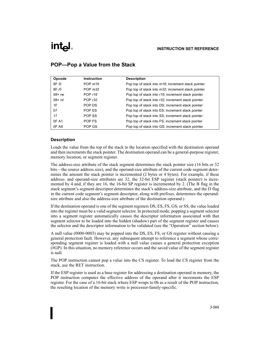#### **INSTRUCTION SET REFERENCE**

| Opcode  | <b>Instruction</b> | <b>Description</b>                                 |
|---------|--------------------|----------------------------------------------------|
| 8F / 0  | POP $m16$          | Pop top of stack into m16; increment stack pointer |
| 8F / 0  | POP $m32$          | Pop top of stack into m32; increment stack pointer |
| $58+rw$ | POP $r16$          | Pop top of stack into r16; increment stack pointer |
| $58+rd$ | POP $r32$          | Pop top of stack into r32; increment stack pointer |
| 1F      | POP DS             | Pop top of stack into DS; increment stack pointer  |
| 07      | POP ES             | Pop top of stack into ES; increment stack pointer  |
| 17      | POP SS             | Pop top of stack into SS; increment stack pointer  |
| 0F A1   | POP FS             | Pop top of stack into FS; increment stack pointer  |
| OF A9   | POP GS             | Pop top of stack into GS; increment stack pointer  |

#### **POP—Pop a Value from the Stack**

#### **Description**

Loads the value from the top of the stack to the location specified with the destination operand and then increments the stack pointer. The destination operand can be a general-purpose register, memory location, or segment register.

The address-size attribute of the stack segment determines the stack pointer size (16 bits or 32 bits—the source address size), and the operand-size attribute of the current code segment determines the amount the stack pointer is incremented (2 bytes or 4 bytes). For example, if these address- and operand-size attributes are 32, the 32-bit ESP register (stack pointer) is incremented by 4 and, if they are 16, the 16-bit SP register is incremented by 2. (The B flag in the stack segment's segment descriptor determines the stack's address-size attribute, and the D flag in the current code segment's segment descriptor, along with prefixes, determines the operandsize attribute and also the address-size attribute of the destination operand.)

If the destination operand is one of the segment registers DS, ES, FS, GS, or SS, the value loaded into the register must be a valid segment selector. In protected mode, popping a segment selector into a segment register automatically causes the descriptor information associated with that segment selector to be loaded into the hidden (shadow) part of the segment register and causes the selector and the descriptor information to be validated (see the "Operation" section below).

A null value (0000-0003) may be popped into the DS, ES, FS, or GS register without causing a general protection fault. However, any subsequent attempt to reference a segment whose corresponding segment register is loaded with a null value causes a general protection exception (#GP). In this situation, no memory reference occurs and the saved value of the segment register is null.

The POP instruction cannot pop a value into the CS register. To load the CS register from the stack, use the RET instruction.

If the ESP register is used as a base register for addressing a destination operand in memory, the POP instruction computes the effective address of the operand after it increments the ESP register. For the case of a 16-bit stack where ESP wraps to 0h as a result of the POP instruction, the resulting location of the memory write is processor-family-specific.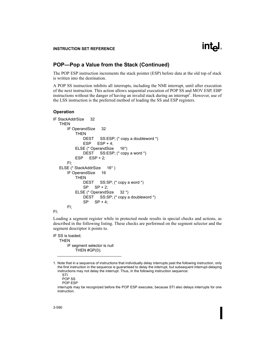## lntel

#### **INSTRUCTION SET REFERENCE**

#### **POP—Pop a Value from the Stack (Continued)**

The POP ESP instruction increments the stack pointer (ESP) before data at the old top of stack is written into the destination.

A POP SS instruction inhibits all interrupts, including the NMI interrupt, until after execution of the next instruction. This action allows sequential execution of POP SS and MOV ESP, EBP instructions without the danger of having an invalid stack during an interrupt<sup>1</sup>. However, use of the LSS instruction is the preferred method of loading the SS and ESP registers.

#### **Operation**

```
IF StackAddrSize 32
  THEN
      IF OperandSize 32
          THEN
              DEST SS:ESP; (* copy a doubleword *)
              ESP ESP + 4;
          ELSE (* OperandSize 16*)
              DEST SS:ESP; (* copy a word *)
          ESP ESP + 2;
      FI;
  ELSE (* StackAddrSize 16* )
      IF OperandSize 16
          THEN
              DEST SS:SP; (* copy a word *)
              SP SP + 2;
          ELSE (* OperandSize 32 *)
              DEST SS:SP; (* copy a doubleword *)
              SP SP + 4;
      FI;
FI;
```
Loading a segment register while in protected mode results in special checks and actions, as described in the following listing. These checks are performed on the segment selector and the segment descriptor it points to.

IF SS is loaded; THEN IF segment selector is null THEN #GP(0);

<sup>1.</sup> Note that in a sequence of instructions that individually delay interrupts past the following instruction, only the first instruction in the sequence is guaranteed to delay the interrupt, but subsequent interrupt-delaying instructions may not delay the interrupt. Thus, in the following instruction sequence:

STI POP SS

POP ESP

interrupts may be recognized before the POP ESP executes, because STI also delays interrupts for one instruction.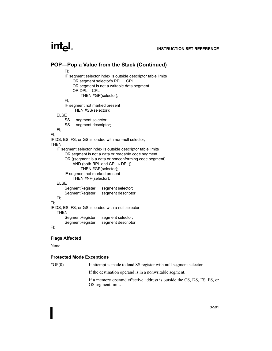#### **INSTRUCTION SET REFERENCE**

#### **POP—Pop a Value from the Stack (Continued)** FI; IF segment selector index is outside descriptor table limits OR segment selector's RPL CPL OR segment is not a writable data segment OR DPL CPL THEN #GP(selector); FI; IF segment not marked present THEN #SS(selector); ELSE SS segment selector; SS segment descriptor; FI; FI; IF DS, ES, FS, or GS is loaded with non-null selector; THEN IF segment selector index is outside descriptor table limits OR segment is not a data or readable code segment OR ((segment is a data or nonconforming code segment) AND (both RPL and CPL > DPL)) THEN #GP(selector); IF segment not marked present THEN #NP(selector); ELSE SegmentRegister segment selector; SegmentRegister segment descriptor; FI; FI; IF DS, ES, FS, or GS is loaded with a null selector; THEN SegmentRegister segment selector; SegmentRegister segment descriptor; FI;

#### **Flags Affected**

None.

#### **Protected Mode Exceptions**

```
#GP(0) If attempt is made to load SS register with null segment selector.
                    If the destination operand is in a nonwritable segment.
                    If a memory operand effective address is outside the CS, DS, ES, FS, or
                    GS segment limit.
```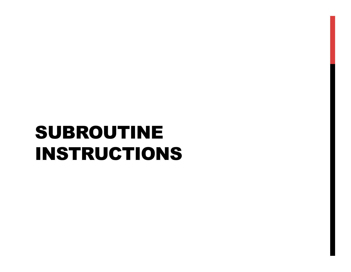# SUBROUTINE INSTRUCTIONS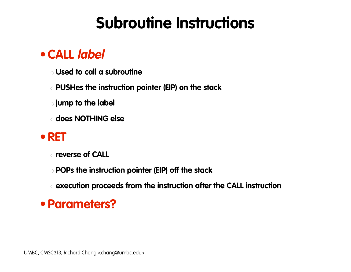# **Subroutine Instructions**

# **•CALL label**

- **Used to call a subroutine**
- **PUSHes the instruction pointer (EIP) on the stack**
- **jump to the label**
- **does NOTHING else**

## **• RET**

- **reverse of CALL**
- **POPs the instruction pointer (EIP) off the stack**
- **execution proceeds from the instruction after the CALL instruction**

## **• Parameters?**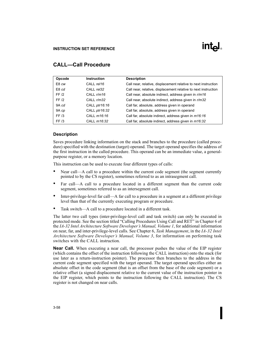## **intal**

#### **INSTRUCTION SET REFERENCE**

| Opcode | <b>Instruction</b> | <b>Description</b>                                             |
|--------|--------------------|----------------------------------------------------------------|
| E8 cw  | CALL rel16         | Call near, relative, displacement relative to next instruction |
| E8 cd  | CALL rel32         | Call near, relative, displacement relative to next instruction |
| FF/2   | CALL $r/m16$       | Call near, absolute indirect, address given in r/m16           |
| FF /2  | CALL $r/m32$       | Call near, absolute indirect, address given in r/m32           |
| 9A cd  | CALL ptr16:16      | Call far, absolute, address given in operand                   |
| 9A cp  | CALL ptr16:32      | Call far, absolute, address given in operand                   |
| FF /3  | CALL m16:16        | Call far, absolute indirect, address given in m16:16           |
| FF /3  | CALL m16:32        | Call far, absolute indirect, address given in m16:32           |

#### **CALL—Call Procedure**

#### **Description**

Saves procedure linking information on the stack and branches to the procedure (called procedure) specified with the destination (target) operand. The target operand specifies the address of the first instruction in the called procedure. This operand can be an immediate value, a generalpurpose register, or a memory location.

This instruction can be used to execute four different types of calls:

- Near call—A call to a procedure within the current code segment (the segment currently pointed to by the CS register), sometimes referred to as an intrasegment call.
- Far call—A call to a procedure located in a different segment than the current code segment, sometimes referred to as an intersegment call.
- Inter-privilege-level far call—A far call to a procedure in a segment at a different privilege level than that of the currently executing program or procedure.
- Task switch—A call to a procedure located in a different task.

The latter two call types (inter-privilege-level call and task switch) can only be executed in protected mode. See the section titled "Calling Procedures Using Call and RET" in Chapter 6 of the *IA-32 Intel Architecture Software Developer's Manual, Volume 1*, for additional information on near, far, and inter-privilege-level calls. See Chapter 6, *Task Management*, in the *IA-32 Intel Architecture Software Developer's Manual, Volume 3*, for information on performing task switches with the CALL instruction.

**Near Call.** When executing a near call, the processor pushes the value of the EIP register (which contains the offset of the instruction following the CALL instruction) onto the stack (for use later as a return-instruction pointer). The processor then branches to the address in the current code segment specified with the target operand. The target operand specifies either an absolute offset in the code segment (that is an offset from the base of the code segment) or a relative offset (a signed displacement relative to the current value of the instruction pointer in the EIP register, which points to the instruction following the CALL instruction). The CS register is not changed on near calls.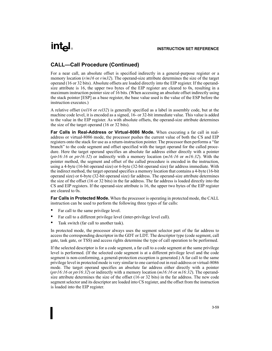### **intal**

#### **CALL—Call Procedure (Continued)**

For a near call, an absolute offset is specified indirectly in a general-purpose register or a memory location (*r/m16* or *r/m32*). The operand-size attribute determines the size of the target operand (16 or 32 bits). Absolute offsets are loaded directly into the EIP register. If the operandsize attribute is 16, the upper two bytes of the EIP register are cleared to 0s, resulting in a maximum instruction pointer size of 16 bits. (When accessing an absolute offset indirectly using the stack pointer [ESP] as a base register, the base value used is the value of the ESP before the instruction executes.)

A relative offset (*rel16* or *rel32*) is generally specified as a label in assembly code, but at the machine code level, it is encoded as a signed, 16- or 32-bit immediate value. This value is added to the value in the EIP register. As with absolute offsets, the operand-size attribute determines the size of the target operand (16 or 32 bits).

**Far Calls in Real-Address or Virtual-8086 Mode.** When executing a far call in realaddress or virtual-8086 mode, the processor pushes the current value of both the CS and EIP registers onto the stack for use as a return-instruction pointer. The processor then performs a "far branch" to the code segment and offset specified with the target operand for the called procedure. Here the target operand specifies an absolute far address either directly with a pointer (*ptr16:16* or *ptr16:32*) or indirectly with a memory location (*m16:16* or *m16:32*). With the pointer method, the segment and offset of the called procedure is encoded in the instruction, using a 4-byte (16-bit operand size) or 6-byte (32-bit operand size) far address immediate. With the indirect method, the target operand specifies a memory location that contains a 4-byte (16-bit operand size) or 6-byte (32-bit operand size) far address. The operand-size attribute determines the size of the offset (16 or 32 bits) in the far address. The far address is loaded directly into the CS and EIP registers. If the operand-size attribute is 16, the upper two bytes of the EIP register are cleared to 0s.

**Far Calls in Protected Mode.** When the processor is operating in protected mode, the CALL instruction can be used to perform the following three types of far calls:

- Far call to the same privilege level.
- Far call to a different privilege level (inter-privilege level call).
- Task switch (far call to another task).

In protected mode, the processor always uses the segment selector part of the far address to access the corresponding descriptor in the GDT or LDT. The descriptor type (code segment, call gate, task gate, or TSS) and access rights determine the type of call operation to be performed.

If the selected descriptor is for a code segment, a far call to a code segment at the same privilege level is performed. (If the selected code segment is at a different privilege level and the code segment is non-conforming, a general-protection exception is generated.) A far call to the same privilege level in protected mode is very similar to one carried out in real-address or virtual-8086 mode. The target operand specifies an absolute far address either directly with a pointer (*ptr16:16* or *ptr16:32*) or indirectly with a memory location (*m16:16* or *m16:32*). The operandsize attribute determines the size of the offset (16 or 32 bits) in the far address. The new code segment selector and its descriptor are loaded into CS register, and the offset from the instruction is loaded into the EIP register.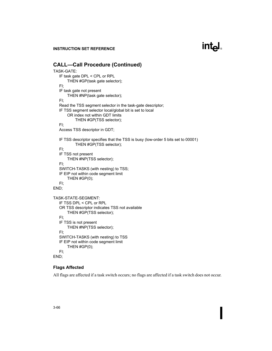**INSTRUCTION SET REFERENCE**

#### **CALL—Call Procedure (Continued)**

```
TASK-GATE:
   IF task gate DPL < CPL or RPL 
       THEN #GP(task gate selector); 
   FI;
   IF task gate not present 
       THEN #NP(task gate selector); 
   FI;
   Read the TSS segment selector in the task-gate descriptor;
   IF TSS segment selector local/global bit is set to local
       OR index not within GDT limits
            THEN #GP(TSS selector); 
   FI;
   Access TSS descriptor in GDT;
   IF TSS descriptor specifies that the TSS is busy (low-order 5 bits set to 00001)
            THEN #GP(TSS selector); 
   FI;
   IF TSS not present 
       THEN #NP(TSS selector);
   FI;
   SWITCH-TASKS (with nesting) to TSS;
   IF EIP not within code segment limit 
       THEN #GP(0); 
   FI;
END;
TASK-STATE-SEGMENT:
   IF TSS DPL < CPL or RPL
   OR TSS descriptor indicates TSS not available
       THEN #GP(TSS selector);
   FI;
   IF TSS is not present 
       THEN #NP(TSS selector); 
   FI;
   SWITCH-TASKS (with nesting) to TSS
   IF EIP not within code segment limit 
       THEN #GP(0); 
   FI;
END;
```
#### **Flags Affected**

All flags are affected if a task switch occurs; no flags are affected if a task switch does not occur.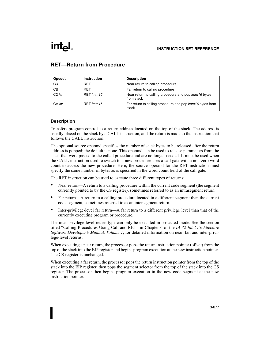### **intal**

#### **INSTRUCTION SET REFERENCE**

| Opcode         | <b>Instruction</b> | <b>Description</b>                                                       |
|----------------|--------------------|--------------------------------------------------------------------------|
| C <sub>3</sub> | <b>RET</b>         | Near return to calling procedure                                         |
| CB             | <b>RFT</b>         | Far return to calling procedure                                          |
| C2iw           | RET <i>imm16</i>   | Near return to calling procedure and pop imm16 bytes<br>from stack       |
| CA iw          | RET <i>imm16</i>   | Far return to calling procedure and pop <i>imm16</i> bytes from<br>stack |

#### **RET—Return from Procedure**

#### **Description**

Transfers program control to a return address located on the top of the stack. The address is usually placed on the stack by a CALL instruction, and the return is made to the instruction that follows the CALL instruction.

The optional source operand specifies the number of stack bytes to be released after the return address is popped; the default is none. This operand can be used to release parameters from the stack that were passed to the called procedure and are no longer needed. It must be used when the CALL instruction used to switch to a new procedure uses a call gate with a non-zero word count to access the new procedure. Here, the source operand for the RET instruction must specify the same number of bytes as is specified in the word count field of the call gate.

The RET instruction can be used to execute three different types of returns:

- Near return—A return to a calling procedure within the current code segment (the segment currently pointed to by the CS register), sometimes referred to as an intrasegment return.
- Far return—A return to a calling procedure located in a different segment than the current code segment, sometimes referred to as an intersegment return.
- Inter-privilege-level far return—A far return to a different privilege level than that of the currently executing program or procedure.

The inter-privilege-level return type can only be executed in protected mode. See the section titled "Calling Procedures Using Call and RET" in Chapter 6 of the *IA-32 Intel Architecture Software Developer's Manual, Volume 1*, for detailed information on near, far, and inter-privilege-level returns.

When executing a near return, the processor pops the return instruction pointer (offset) from the top of the stack into the EIP register and begins program execution at the new instruction pointer. The CS register is unchanged.

When executing a far return, the processor pops the return instruction pointer from the top of the stack into the EIP register, then pops the segment selector from the top of the stack into the CS register. The processor then begins program execution in the new code segment at the new instruction pointer.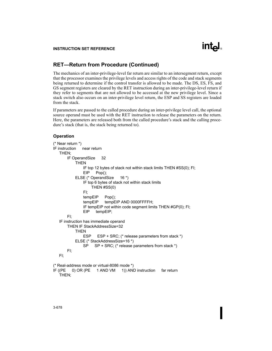## lntel

#### **INSTRUCTION SET REFERENCE**

#### **RET—Return from Procedure (Continued)**

The mechanics of an inter-privilege-level far return are similar to an intersegment return, except that the processor examines the privilege levels and access rights of the code and stack segments being returned to determine if the control transfer is allowed to be made. The DS, ES, FS, and GS segment registers are cleared by the RET instruction during an inter-privilege-level return if they refer to segments that are not allowed to be accessed at the new privilege level. Since a stack switch also occurs on an inter-privilege level return, the ESP and SS registers are loaded from the stack.

If parameters are passed to the called procedure during an inter-privilege level call, the optional source operand must be used with the RET instruction to release the parameters on the return. Here, the parameters are released both from the called procedure's stack and the calling procedure's stack (that is, the stack being returned to).

#### **Operation**

```
(* Near return *)
IF instruction near return 
   THEN;
       IF OperandSize 32
           THEN
               IF top 12 bytes of stack not within stack limits THEN #SS(0); FI;
               EIP Pop();
           ELSE (* OperandSize 16 *)
               IF top 6 bytes of stack not within stack limits
                   THEN #SS(0)
               FI;
               tempEIP Pop();
               tempEIP tempEIP AND 0000FFFFH;
               IF tempEIP not within code segment limits THEN #GP(0); FI;
               EIP tempEIP;
       FI;
   IF instruction has immediate operand 
       THEN IF StackAddressSize=32
           THEN
               ESP ESP + SRC; (* release parameters from stack *)
           ELSE (* StackAddressSize=16 *)
               SP SP + SRC; (* release parameters from stack *)
       FI;
   FI;
(* Real-address mode or virtual-8086 mode *)
IF ((PE 0) OR (PE 1 AND VM 1)) AND instruction far return
   THEN;
```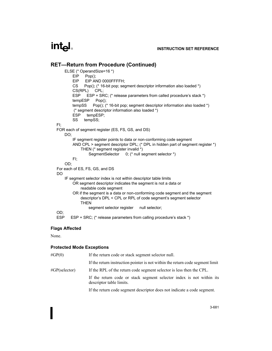#### **RET—Return from Procedure (Continued)**

```
ELSE (* OperandSize=16 *)
        EIP Pop();
        EIP EIP AND 0000FFFFH;
        CS Pop(); (* 16-bit pop; segment descriptor information also loaded *)
        CS(RPL) CPL;
        ESP ESP + SRC; (* release parameters from called procedure's stack *)
        tempESP Pop();
        tempSS Pop(); (* 16-bit pop; segment descriptor information also loaded *)
          (* segment descriptor information also loaded *)
        ESP tempESP;
        SS tempSS;
FI;
FOR each of segment register (ES, FS, GS, and DS)
    DO;
        IF segment register points to data or non-conforming code segment
        AND CPL > segment descriptor DPL; (* DPL in hidden part of segment register *)
            THEN (* segment register invalid *)
                 SegmentSelector 0; (* null segment selector *)
        FI;
    OD;
For each of ES, FS, GS, and DS
DO
    IF segment selector index is not within descriptor table limits
        OR segment descriptor indicates the segment is not a data or 
            readable code segment
        OR if the segment is a data or non-conforming code segment and the segment
            descriptor's DPL < CPL or RPL of code segment's segment selector
            THEN
                 segment selector register null selector;
OD;
ESP ESP + SRC; (* release parameters from calling procedure's stack *)
```
#### **Flags Affected**

None.

#### **Protected Mode Exceptions**

| $\#GP(0)$         | If the return code or stack segment selector null.                                               |
|-------------------|--------------------------------------------------------------------------------------------------|
|                   | If the return instruction pointer is not within the return code segment limit                    |
| $\#GP$ (selector) | If the RPL of the return code segment selector is less then the CPL.                             |
|                   | If the return code or stack segment selector index is not within its<br>descriptor table limits. |
|                   | If the return code segment descriptor does not indicate a code segment.                          |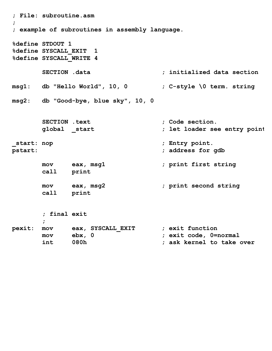**; File: subroutine.asm ; ; example of subroutines in assembly language. %define STDOUT 1 %define SYSCALL\_EXIT 1 %define SYSCALL\_WRITE 4 SECTION .data ; initialized data section msg1: db "Hello World", 10, 0 ; C-style \0 term. string msg2: db "Good-bye, blue sky", 10, 0** SECTION .text  $\begin{array}{ccc} 1 & 0 & 0 \\ -1 & 0 & 0 \\ 0 & -1 & 0 \end{array}$  ; Code section. ; let loader see entry point **\_start: nop ; Entry point.** pstart:  $\qquad \qquad ; \text{ address for gdb}$  **mov eax, msg1 ; print first string call print mov eax, msg2 ; print second string call print ; final exit**  $\mathbf{r}$   $\mathbf{r}$   $\mathbf{r}$   $\mathbf{r}$   $\mathbf{r}$   $\mathbf{r}$   $\mathbf{r}$   $\mathbf{r}$   $\mathbf{r}$   $\mathbf{r}$   $\mathbf{r}$   $\mathbf{r}$   $\mathbf{r}$   $\mathbf{r}$   $\mathbf{r}$   $\mathbf{r}$   $\mathbf{r}$   $\mathbf{r}$   $\mathbf{r}$   $\mathbf{r}$   $\mathbf{r}$   $\mathbf{r}$   $\mathbf{r}$   $\mathbf{r}$   $\mathbf{$ **pexit: mov eax, SYSCALL\_EXIT ; exit function** mov ebx, 0  $;$  exit code, 0=normal  **int 080h ; ask kernel to take over**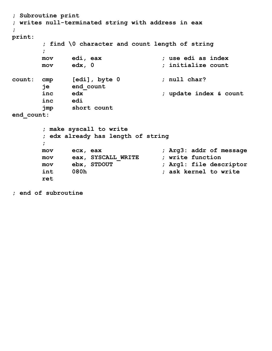```
; Subroutine print
; writes null-terminated string with address in eax
;
print:
              ; find \0 character and count length of string
\mathbf{r} \mathbf{r} \mathbf{r} \mathbf{r} \mathbf{r} \mathbf{r} \mathbf{r} \mathbf{r} \mathbf{r} \mathbf{r} \mathbf{r} \mathbf{r} \mathbf{r} \mathbf{r} \mathbf{r} \mathbf{r} \mathbf{r} \mathbf{r} \mathbf{r} \mathbf{r} \mathbf{r} \mathbf{r} \mathbf{r} \mathbf{r} \mathbf{ mov edi, eax ; use edi as index
            mov edx, 0 ; initialize count
count: cmp [edi], byte 0 ; null char?
             je end_count
             inc edx ; update index & count
             inc edi
             jmp short count
end_count:
              ; make syscall to write
              ; edx already has length of string
\mathbf{r} \mathbf{r} \mathbf{r} \mathbf{r} \mathbf{r} \mathbf{r} \mathbf{r} \mathbf{r} \mathbf{r} \mathbf{r} \mathbf{r} \mathbf{r} \mathbf{r} \mathbf{r} \mathbf{r} \mathbf{r} \mathbf{r} \mathbf{r} \mathbf{r} \mathbf{r} \mathbf{r} \mathbf{r} \mathbf{r} \mathbf{r} \mathbf{ mov ecx, eax ; Arg3: addr of message
             mov eax, SYSCALL_WRITE ; write function
             mov ebx, STDOUT ; Arg1: file descriptor
             int 080h ; ask kernel to write
             ret
```
**; end of subroutine**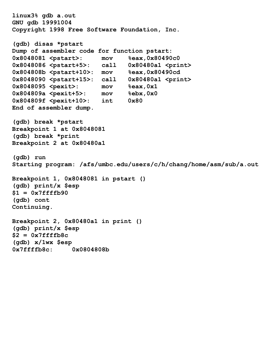**linux3% gdb a.out GNU gdb 19991004 Copyright 1998 Free Software Foundation, Inc. (gdb) disas \*pstart Dump of assembler code for function pstart: 0x8048081 <pstart>: mov %eax,0x80490c0 0x8048086 <pstart+5>: call 0x80480a1 <print> 0x804808b <pstart+10>: mov %eax,0x80490cd 0x8048090 <pstart+15>: call 0x80480a1 <print> 0x8048095 <pexit>: mov %eax,0x1 0x804809a <pexit+5>: mov %ebx,0x0 0x804809f <pexit+10>: int 0x80 End of assembler dump. (gdb) break \*pstart Breakpoint 1 at 0x8048081 (gdb) break \*print Breakpoint 2 at 0x80480a1 (gdb) run Starting program: /afs/umbc.edu/users/c/h/chang/home/asm/sub/a.out Breakpoint 1, 0x8048081 in pstart () (gdb) print/x \$esp \$1 = 0x7ffffb90 (gdb) cont Continuing. Breakpoint 2, 0x80480a1 in print () (gdb) print/x \$esp \$2 = 0x7ffffb8c (gdb) x/1wx \$esp 0x7ffffb8c: 0x0804808b**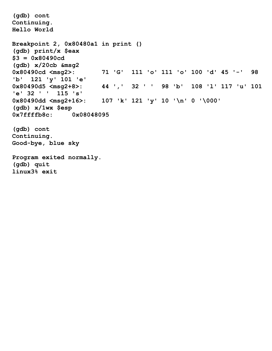```
(gdb) cont
Continuing.
Hello World
Breakpoint 2, 0x80480a1 in print ()
(gdb) print/x $eax
$3 = 0x80490cd
(gdb) x/20cb &msg2
                        0x80490cd <msg2>: 71 'G' 111 'o' 111 'o' 100 'd' 45 '-' 98 
'b' 121 'y' 101 'e'
0x80490d5 <msg2+8>: 44 ',' 32 ' ' 98 'b' 108 'l' 117 'u' 101 
'e' 32 ' ' 115 's'
0x80490dd <msg2+16>: 107 'k' 121 'y' 10 '\n' 0 '\000'
(gdb) x/1wx $esp
0x7ffffb8c: 0x08048095
(gdb) cont
Continuing.
Good-bye, blue sky
Program exited normally.
(gdb) quit
linux3% exit
```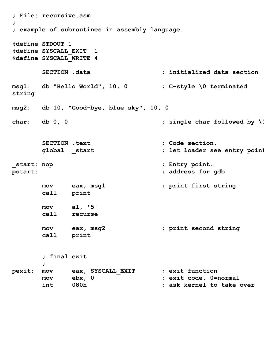**; File: recursive.asm ; ; example of subroutines in assembly language. %define STDOUT 1 %define SYSCALL\_EXIT 1 %define SYSCALL\_WRITE 4 SECTION .data ; initialized data section msg1: db "Hello World", 10, 0 ; C-style \0 terminated string msg2: db 10, "Good-bye, blue sky", 10, 0** char: db 0, 0  $\qquad \qquad$  ; single char followed by \0 SECTION .text  $\qquad \qquad ;$  Code section.  **global \_start ; let loader see entry point \_start: nop ; Entry point.** pstart:  $\qquad \qquad ; \text{ address for qdb}$  **mov eax, msg1 ; print first string call print mov al, '5' call recurse mov eax, msg2 ; print second string call print ; final exit**  $\mathbf{r}$   $\mathbf{r}$   $\mathbf{r}$   $\mathbf{r}$   $\mathbf{r}$   $\mathbf{r}$   $\mathbf{r}$   $\mathbf{r}$   $\mathbf{r}$   $\mathbf{r}$   $\mathbf{r}$   $\mathbf{r}$   $\mathbf{r}$   $\mathbf{r}$   $\mathbf{r}$   $\mathbf{r}$   $\mathbf{r}$   $\mathbf{r}$   $\mathbf{r}$   $\mathbf{r}$   $\mathbf{r}$   $\mathbf{r}$   $\mathbf{r}$   $\mathbf{r}$   $\mathbf{$ **pexit: mov eax, SYSCALL\_EXIT ; exit function** mov ebx, 0  $;$  exit code, 0=normal  **int 080h ; ask kernel to take over**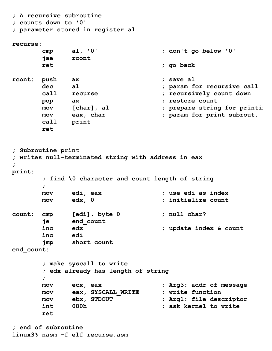```
; A recursive subroutine
; counts down to '0'
; parameter stored in register al
recurse:
          cmp al, '0' ; don't go below '0'
          jae rcont 
          ret ; go back 
rcont: push ax ; save al 
          dec al ; param for recursive call
          call recurse ; recursively count down
         pop ax ; restore count
         mov [char], al \qquad; prepare string for printing<br>mov eax, char ; param for print subrout.
          mov eax, char ; param for print subrout.
          call print
          ret
; Subroutine print
; writes null-terminated string with address in eax
;
print:
           ; find \0 character and count length of string
\mathbf{r} \mathbf{r} \mathbf{r} \mathbf{r} \mathbf{r} \mathbf{r} \mathbf{r} \mathbf{r} \mathbf{r} \mathbf{r} \mathbf{r} \mathbf{r} \mathbf{r} \mathbf{r} \mathbf{r} \mathbf{r} \mathbf{r} \mathbf{r} \mathbf{r} \mathbf{r} \mathbf{r} \mathbf{r} \mathbf{r} \mathbf{r} \mathbf{ mov edi, eax ; use edi as index
         mov edx, 0 ; initialize count
count: cmp [edi], byte 0 ; null char?
          je end_count
          inc edx ; update index & count
          inc edi
           jmp short count
end_count:
           ; make syscall to write
           ; edx already has length of string
\mathbf{r} \mathbf{r} \mathbf{r} \mathbf{r} \mathbf{r} \mathbf{r} \mathbf{r} \mathbf{r} \mathbf{r} \mathbf{r} \mathbf{r} \mathbf{r} \mathbf{r} \mathbf{r} \mathbf{r} \mathbf{r} \mathbf{r} \mathbf{r} \mathbf{r} \mathbf{r} \mathbf{r} \mathbf{r} \mathbf{r} \mathbf{r} \mathbf{ mov ecx, eax ; Arg3: addr of message
          mov eax, SYSCALL_WRITE ; write function
          mov ebx, STDOUT ; Arg1: file descriptor
          int 080h ; ask kernel to write
          ret 
; end of subroutine
linux3% nasm -f elf recurse.asm
```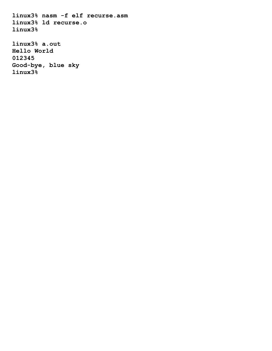**linux3% nasm -f elf recurse.asm linux3% ld recurse.o linux3% linux3% a.out Hello World 012345 Good-bye, blue sky linux3%**